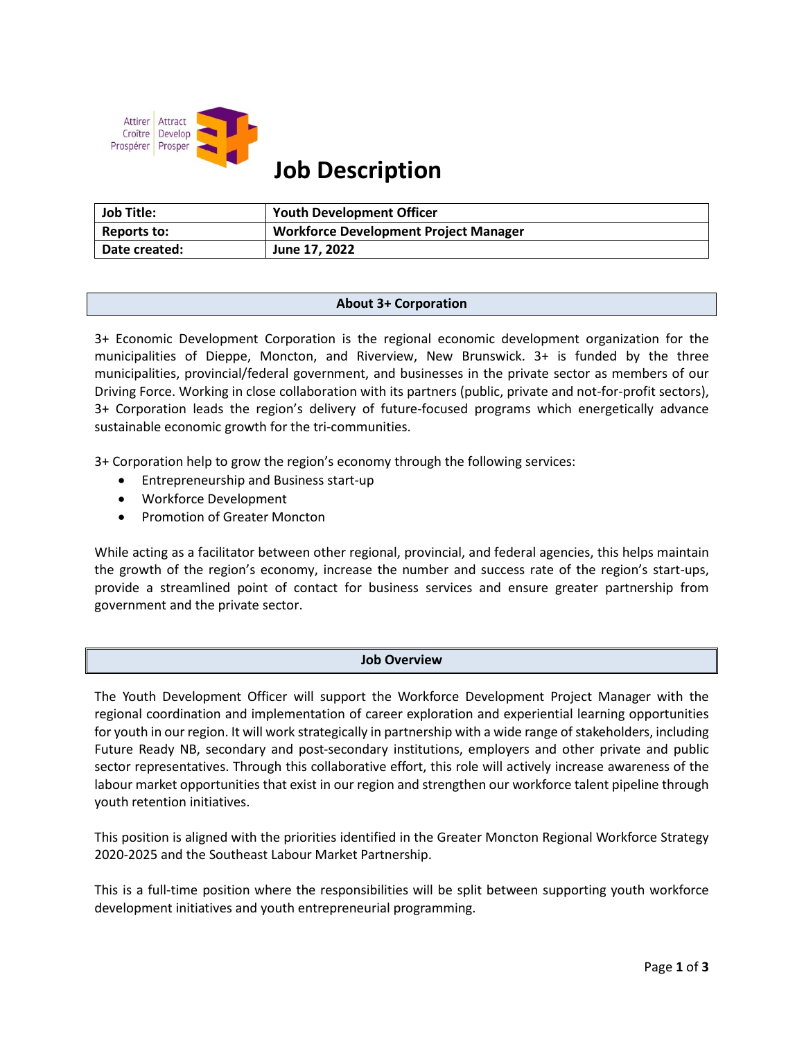

# **Job Description**

| <b>Job Title:</b> | <b>Youth Development Officer</b>             |
|-------------------|----------------------------------------------|
| Reports to:       | <b>Workforce Development Project Manager</b> |
| Date created:     | June 17, 2022                                |

## **About 3+ Corporation**

3+ Economic Development Corporation is the regional economic development organization for the municipalities of Dieppe, Moncton, and Riverview, New Brunswick. 3+ is funded by the three municipalities, provincial/federal government, and businesses in the private sector as members of our Driving Force. Working in close collaboration with its partners (public, private and not-for-profit sectors), 3+ Corporation leads the region's delivery of future-focused programs which energetically advance sustainable economic growth for the tri-communities.

3+ Corporation help to grow the region's economy through the following services:

- Entrepreneurship and Business start-up
- Workforce Development
- Promotion of Greater Moncton

While acting as a facilitator between other regional, provincial, and federal agencies, this helps maintain the growth of the region's economy, increase the number and success rate of the region's start-ups, provide a streamlined point of contact for business services and ensure greater partnership from government and the private sector.

## **Job Overview**

The Youth Development Officer will support the Workforce Development Project Manager with the regional coordination and implementation of career exploration and experiential learning opportunities for youth in our region. It will work strategically in partnership with a wide range of stakeholders, including Future Ready NB, secondary and post-secondary institutions, employers and other private and public sector representatives. Through this collaborative effort, this role will actively increase awareness of the labour market opportunities that exist in our region and strengthen our workforce talent pipeline through youth retention initiatives.

This position is aligned with the priorities identified in the Greater Moncton Regional Workforce Strategy 2020-2025 and the Southeast Labour Market Partnership.

This is a full-time position where the responsibilities will be split between supporting youth workforce development initiatives and youth entrepreneurial programming.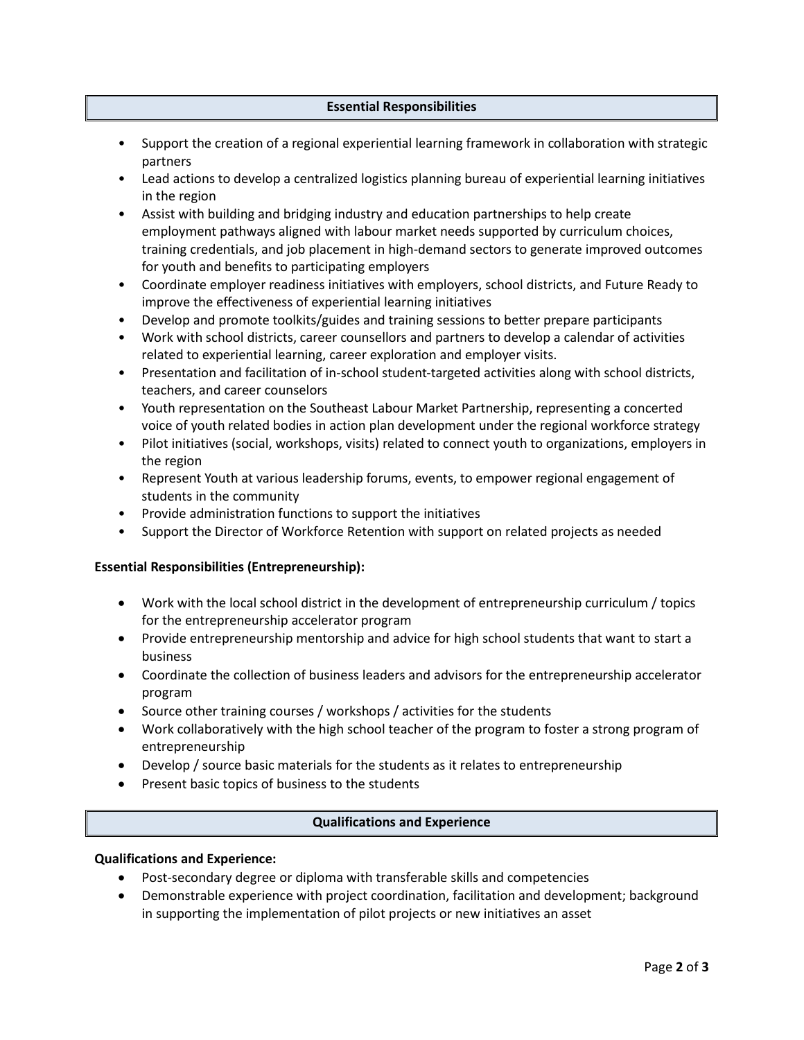## **Essential Responsibilities**

- Support the creation of a regional experiential learning framework in collaboration with strategic partners
- Lead actions to develop a centralized logistics planning bureau of experiential learning initiatives in the region
- Assist with building and bridging industry and education partnerships to help create employment pathways aligned with labour market needs supported by curriculum choices, training credentials, and job placement in high-demand sectors to generate improved outcomes for youth and benefits to participating employers
- Coordinate employer readiness initiatives with employers, school districts, and Future Ready to improve the effectiveness of experiential learning initiatives
- Develop and promote toolkits/guides and training sessions to better prepare participants
- Work with school districts, career counsellors and partners to develop a calendar of activities related to experiential learning, career exploration and employer visits.
- Presentation and facilitation of in-school student-targeted activities along with school districts, teachers, and career counselors
- Youth representation on the Southeast Labour Market Partnership, representing a concerted voice of youth related bodies in action plan development under the regional workforce strategy
- Pilot initiatives (social, workshops, visits) related to connect youth to organizations, employers in the region
- Represent Youth at various leadership forums, events, to empower regional engagement of students in the community
- Provide administration functions to support the initiatives
- Support the Director of Workforce Retention with support on related projects as needed

# **Essential Responsibilities (Entrepreneurship):**

- Work with the local school district in the development of entrepreneurship curriculum / topics for the entrepreneurship accelerator program
- Provide entrepreneurship mentorship and advice for high school students that want to start a business
- Coordinate the collection of business leaders and advisors for the entrepreneurship accelerator program
- Source other training courses / workshops / activities for the students
- Work collaboratively with the high school teacher of the program to foster a strong program of entrepreneurship
- Develop / source basic materials for the students as it relates to entrepreneurship
- Present basic topics of business to the students

# **Qualifications and Experience**

## **Qualifications and Experience:**

- Post-secondary degree or diploma with transferable skills and competencies
- Demonstrable experience with project coordination, facilitation and development; background in supporting the implementation of pilot projects or new initiatives an asset